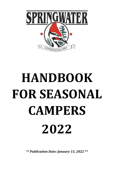

# **HANDBOOK FOR SEASONAL CAMPERS 2022**

*\*\* Publication Date: January 13, 2022 \*\**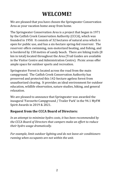## **WELCOME!**

We are pleased that you have chosen the Springwater Conservation Area as your vacation home away from home.

The Springwater Conservation Area is a project that began in 1971 by the Catfish Creek Conservation Authority (CCCA), which was founded in 1950. It consists of 32 hectares of natural area which is open for public use, and has a six-hectare spring-fed reservoir. The reservoir offers swimming, non-motorized boating, and fishing, and is bordered by 150 metres of sandy beach. There are hiking trails (8 km in total) located throughout the Area (Trail Guides are available in the Visitor Centre and Administration Centre). Picnic areas offer ample space for outdoor sports and recreation.

Springwater Forest is located across the road from the main campground. The Catfish Creek Conservation Authority has preserved and protected this 142-hectare ageless forest from unauthorized clearing. It provides an ideal environment for outdoor education, wildlife observation, nature studies, hiking, and general relaxation.

We are pleased to announce that Springwater was awarded the inaugural 'Favourite Campground / Trailer Park' in the 94.1 MyFM Spirit Awards in 2019 & 2021.

#### **Request from the CCCA Board of Directors:**

*In an attempt to minimize hydro costs, it has been recommended by the CCCA Board of Directors that campers make an effort to reduce their hydro usage dramatically.* 

*For example, limit outdoor lighting and do not leave air conditioners running when occupants are not within the unit.*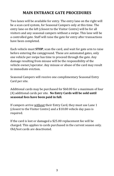## **MAIN ENTRANCE GATE PROCEDURES**

Two lanes will be available for entry. The entry lane on the right will be a scan card system, for Seasonal Campers only at this time. The entry lane on the left (closest to the Visitor Centre) will be for all visitors and any seasonal campers without a swipe. This lane will be a controlled gate. Staff will raise the gate for entry after transactions have been completed.

Each vehicle must **STOP**, scan the card, and wait for gate arm to raise before entering the campground. These are automated gates, only one vehicle per swipe has time to proceed through the gate. Any damage resulting from misuse will be the responsibility of the vehicle owner/operator. Any misuse or abuse of the card may result in immediate eviction.

Seasonal Campers will receive one complimentary Seasonal Entry Card per site.

Additional cards may be purchased for \$60.00 for a maximum of four (4) additional cards per site. **No Entry Cards will be sold until seasonal fees have been paid in full.**

If campers arrive without their Entry Card, they must use Lane 1 (closest to the Visitor Centre) and a \$10.00 vehicle day pass is required.

If the card is lost or damaged a \$25.00 replacement fee will be charged. This applies to cards purchased in the current season only. Old/lost cards are deactivated.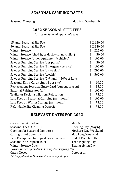## **SEASONAL CAMPING DATES**

Seasonal Camping \_\_\_\_\_\_\_\_\_\_\_\_\_\_\_\_\_\_\_\_\_\_\_\_\_\_\_\_\_\_\_\_\_\_May 6 to October 10

## **2022 SEASONAL SITE FEES**

*\*prices include all applicable taxes*

|                                                             |                            | \$2,620.00 |
|-------------------------------------------------------------|----------------------------|------------|
|                                                             |                            | \$2,840.00 |
| <b>Winter Storage</b>                                       | \$                         | 225.00     |
| Winter Storage (shed &/or deck with no trailer)             | \$                         | 50.00      |
|                                                             | \$                         | 100.00     |
| Sewage Pumping Service (per pump)                           | \$                         | 50.00      |
|                                                             | \$                         | 100.00     |
|                                                             | $\boldsymbol{\mathsf{\$}}$ | 290.00     |
|                                                             |                            | 560.00     |
| Sewage Pumping Service (2 <sup>nd</sup> tank) * 50% of Rate |                            |            |
| Seasonal Entry Card (Limit 4 per site)                      | \$                         | 60.00      |
| Replacement Seasonal Entry Card (current season)\$          |                            | 25.00      |
|                                                             | \$                         | 100.00     |
|                                                             | \$                         | 75.00      |
| Late Fees on Seasonal Camping (per month)\$                 |                            | 100.00     |
| Late Fees on Winter Storage (per month)                     |                            | 75.00      |
|                                                             |                            | 75.00      |
|                                                             |                            |            |

## **RELEVANT DATES FOR 2022**

| May 6                                                |  |
|------------------------------------------------------|--|
| Opening Day (May 6)                                  |  |
| Mother's Day Weekend                                 |  |
| May Long Weekend                                     |  |
| <b>End of Each Month</b>                             |  |
| Thanksgiving Day                                     |  |
| Thanksgiving Day                                     |  |
| * Hydro turned off Friday following Thanksgiving Day |  |
| October 14                                           |  |
|                                                      |  |
|                                                      |  |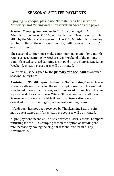## **SEASONAL SITE FEE PAYMENTS**

#### **If paying by cheque, please use "Catfish Creek Conservation Authority", not "Springwater Conservation Area" as the payee.**

Seasonal Camping Fees are due in **FULL** by opening day. An Administration Fee of \$100.00 will be charged if fees are not paid in FULL by the Victoria Day Weekend. The \$100.00 Administration Fee will be applied at the end of each month, until balance is paid and/or eviction occurs.

The seasonal camper must make a minimum payment of one-month retail serviced camping by Mother's Day Weekend. If the minimum 1-month retail serviced camping is not paid by the Victoria Day Long Weekend, eviction procedures will be initiated.

Contracts must be signed by the **primary site occupant** to obtain a Seasonal Entry Card.

**A minimum \$50.00 deposit is due by Thanksgiving Day** each year to ensure site occupancy for the next camping season. This amount is included in seasonal site fees, and is not an additional fee. This fee is payable at the same time as Winter Storage fees in the fall. Pre-Season deposits are refundable if Seasonal Reservations are cancelled prior to opening day of the next camping season.

\* If a deposit has not been received by Thanksgiving Day, the site may be reassigned and/or eviction procedures will be initiated.

A "pre-payment incentive" is offered which allows Seasonal Campers returning for the 2023 camping season the option of avoiding the rate increase by paying the original seasonal site fee in full by November 15th.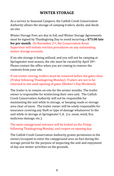## **WINTER STORAGE**

As a service to Seasonal Campers, the Catfish Creek Conservation Authority allows the storage of camping trailers, decks, and sheds on-site.

Winter Storage Fees are due in full, and Winter Storage Agreements must be signed by Thanksgiving Day to avoid incurring a **\$75.00 late fee per month**. On November 2nd, the Conservation Areas Supervisor will initiate eviction procedures on any outstanding winter storage accounts.

If on-site storage is being utilized, and you will not be camping at Springwater next season, the site must be vacated by April 30th. Please contact the office when you are coming to remove the contents from your site.

If not winter storing, trailers must be removed before the gates close (Friday following Thanksgiving Monday). Trailers are not to be returned to site until opening of gates (Mother's Day Weekend).

The trailer is to remain on-site for the winter months. The trailer owner is responsible for winterizing their own unit. The Catfish Creek Conservation Authority will not be responsible for maintaining the unit while in storage, or keeping roads or storage area clear of snow. The trailer owner will be solely responsible for insurance covering any theft or type of damage whatsoever to the unit while in storage at Springwater C.A. (i.e. snow, wind, fire, malicious damage, etc.).

#### The main campground entrance will be locked on the Friday following Thanksgiving Monday, and reopen on opening day.

The Catfish Creek Conservation Authority grants permission to the owner/occupant to enter the campground area on foot during the storage period for the purpose of inspecting the unit and enjoyment of day-use winter activities on the grounds.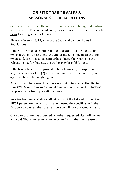## **ON-SITE TRAILER SALES & SEASONAL SITE RELOCATIONS**

Campers must contact the office when trailers are being sold and/or sites vacated. To avoid confusion, please contact the office for details prior to listing a trailer for sale.

Please refer to #s 3, 13, & 14 of the Seasonal Camper Rules & Regulations.

If there is a seasonal camper on the relocation list for the site on which a trailer is being sold, the trailer must be moved off the site when sold. If no seasonal camper has placed their name on the relocation list for that site, the trailer may be sold "on-site".

If the trailer has been approved to be sold on site, this approval will stay on record for two (2) years maximum. After the two (2) years, approval has to be sought again.

As a courtesy to seasonal campers we maintain a relocation list in the CCCA Admin. Centre. Seasonal Campers may request up to TWO (2) preferred sites to potentially move to.

As sites become available staff will consult the list and contact the FIRST person on the list that has requested the specific site. If the first person passes, then the next person will be contacted and so on.

Once a relocation has occurred, all other requested sites will be null and void. That camper may not relocate for another two seasons.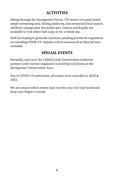## **ACTIVITIES**

Hiking through the Springwater Forest, 150 meters of sandy beach, ample swimming area, fishing platforms, non-motorized boat launch, children's playground, horseshoe pits. Canoes and Kayaks are available to rent either half a day or for a whole day.

Staff are hoping to generate activities, pending provincial regulations surrounding COVID-19. Updates will be announced as they become available.

## **SPECIAL EVENTS**

Normally, each year the Catfish Creek Conservation Authority partners with various organizers to hold Special Events at the Springwater Conservation Area.

Due to COVID-19 restrictions, all events were cancelled in 2020 & 2021.

We are unsure which events may run this year, but stay tuned and keep your fingers crossed.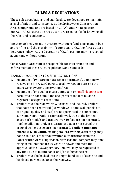## **RULES & REGULATIONS**

These rules, regulations, and standards were developed to maintain a level of safety and consistency at the Springwater Conservation Area campground and are based on CCCA's Ontario Regulation 688/21. All Conservation Area users are responsible for knowing all the rules and regulations.

Violations(s) may result in eviction without refund, a permanent ban and/or fine, and the possibility of court action. CCCA enforces a Zero Tolerance Policy. At the discretion of CCCA, permits may be revoked at any time without refund.

Conservation Area staff are responsible for interpretation and enforcement of these rules, regulations, and standards.

TRAILER REQUIREMENTS & SITE RESTRICTIONS:

- 1. Maximum of two cars per site (space permitting). Campers will receive one Entry Card per site to allow regular access to the entire Springwater Conservation Area.
- 2. Maximum of one trailer plus a dining tent or small sleeping tent permitted on each site. \* the occupants of the tent must be registered occupants of the site.
- 3. Trailers must be road worthy, licensed, and insured. Trailers that have been renovated (i.e. windows, doors, wall panels not of original quality and size) are not permitted. No sunrooms, sunroom roofs, or add-a-rooms allowed. Due to the limited space park models and trailers over 40 feet are not permitted. Roof installations and/or alterations that are not part of the original trailer design are not permitted. **Trailers must not exceed 8'6" in width.** Existing trailers over 20 years of age may not be sold on-site without written authorization from the Conservation Areas Supervisor. New seasonal campers may only bring in trailers that are 20 years or newer and meet the approval of the C.A. Supervisor. Removal may be requested at any time due to maintenance and/or safety concerns.
- 4. Trailers must be backed into the right hand side of each site and be placed perpendicular to the roadway.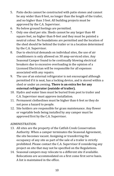- 5. Patio decks cannot be constructed with patio stones and cannot be any wider than 8 feet, no longer than the length of the trailer, and no higher than 3 feet. All building projects must be approved by the C.A. Supervisor.
- 6. No below ground footings are permitted.
- 7. Only one shed per site. Sheds cannot be any larger than 48 square feet, no higher than 8-feet and they must be painted a neutral colour. No foundations are permitted and the location of the shed should be behind the trailer or in a location determined by the C.A. Supervisor.
- 8. Due to electrical demands on individual sites, the use of air conditioners is only allowed on 30 amp-serviced sites. Any Seasonal Camper found to be continually blowing electrical breakers due to excessive overloading in the opinion of a Licensed Electrician will be responsible for all expenses associated with any repairs.
- 9. The use of an external refrigerator is not encouraged although permitted if it is neat, has a locking device, and is stored within a shed or under an awning. **There is an extra fee for any external refrigerator (outside of trailer).**
- 10. Hydro and water lines must be buried from post to trailer and C.A. Supervisor must approve installation.
- 11. Permanent clotheslines must be higher than 6 feet so they do not pose a hazard to people.
- 12. Site holders are responsible for grass maintenance. Any flower or vegetable beds being installed by any camper must be approved first by the C.A. Supervisor.

#### ADMINISTRATION:

- 13. All sites are the property of the Catfish Creek Conservation Authority. When a camper terminates the Seasonal Agreement, the site becomes vacant. Assigning or transferring the occupancy of any site as part of the sale of a trailer is strictly prohibited. Please contact the C.A. Supervisor if considering any project on site that may not be specified on the Regulations.
- 14. Seasonal campers may relocate to a different site if available. Relocations are accommodated on a first come first serve basis. A list is maintained in the office.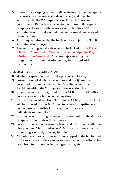- 15. No seasonal camping refund shall be given except under special circumstances (i.e. medical, sale of trailer) and must be authorized by the C.A. Supervisor or Financial Services Coordinator. Refunds are calculated as follows: time spent camping x the retail daily/weekly/monthly rate + \$50.00 administration = total amount due less seasonal fee received = refund amount
- 16. Any cheques returned by the bank will be subject to a \$30.00 administration charge.
- 17. The main campground entrance will be locked on the Friday following Thanksgiving Monday, and reopen Opening Day (Mother's Day Weekend). Any person(s) entering the campground without permission may be charged with trespassing.

#### GENERAL CAMPING REGULATIONS:

- 18. Maximum speed limit within the property is 15 km/hr.
- 19. Consumption of alcoholic beverages and marijuana are permitted on your campsite only. Growing of marijuana is forbidden within the Springwater Conservation Area.
- 20. Quiet time in the campground is from 11:00 p.m. until 8:00 a.m.; no excessive noise is allowed at any time.
- 21. Visitors are permitted from 9:00 a.m. to 11:00 p.m. No visitors will be allowed in after 9:00 p.m. Registered campsite permit holders are responsible for the actions and safety of all individuals on their site.
- 22. No abusive or insulting language, nor threatening behaviour by campers or their pets will be tolerated.
- 23. Pets must be kept on a 2-metre leash and controlled at all times, plus you must "Stoop and Scoop". Pets are not allowed in the swimming area and/or in any building.
- 24. All garbage and recyclables must be dropped in the bin located in the service area. Please separate recyclables accordingly. No oversized items (i.e. couches, fridges, chairs, etc.).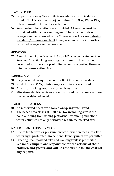#### BLACK WATER:

- 25. Proper use of Grey Water Pits is mandatory. In no instances should Black Water (sewage) be drained into Grey Water Pits, this will result in immediate eviction.
- 26. Sewage dumping stations are provided. All sewage must be contained within your camping unit. The only methods of sewage removal allowed in the Conservation Area are industry standard / professional built honey wagons or the Authorityprovided sewage removal service.

#### FIREWOOD:

27. A maximum of one face cord (4'x8'x16") can be located on the Seasonal Site. Stacking wood against trees or shrubs is not permitted. Campers are prohibited from transporting firewood into the Conservation Area.

#### PARKING & VEHICLES:

- 28. Bicycles must be equipped with a light if driven after dark.
- 29. No dirt bikes, ATVs, mini-bikes, or scooters are allowed.
- 50. All visitor parking areas are for vehicles only.
- 51. Miniature electric vehicles are not allowed on the roads without the supervision of an adult.

#### BEACH REGULATIONS:

- 30. No motorized boats are allowed on Springwater Pond.
- 31. The beach area closes at 8:30 p.m. No swimming across the pond or diving from fishing platforms. Swimming and other water activities are only permitted within the marked area.

#### WATER & LAND CONSERVATION:

- 32. Due to limited water pressure and conservation measures, lawn watering is prohibited. No personal laundry units are permitted.
- 33. Creating unauthorized bike and walking trails is prohibited. **Seasonal campers are responsible for the actions of their children and guests, and will be responsible for the costs of any repairs.**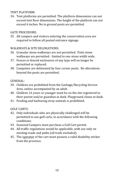TENT PLATFORM:

34. Tent platforms are permitted. The platform dimensions can not exceed tent floor dimensions. The height of the platform can not exceed 6 inches. No in ground posts are permitted.

#### GATE PROCEDURE:

35. All campers and visitors entering the conservation area are required to follow all posted entrance signage.

#### WALKWAYS & SITE DELINIATIONS:

- 36. Granular stone walkways are not permitted. Patio stone walkways are permitted - limited to one stone width wide.
- 37. Fences or fenced enclosures of any type will no longer be permitted or replaced.
- 38. Campsites are delineated by four corner posts. No alterations beyond the posts are permitted.

#### GENERAL:

- 39. Children are prohibited from the Garbage/Recycling Service Area, unless accompanied by an adult.
- 40. Children 16 years or younger must be on the site registered to their parent and/or guardian at dusk. Playground closes at dusk.
- 41. Feeding and harboring stray animals is prohibited.

GOLF CARTS:

- 42. Only individuals who are physically challenged will be permitted to use golf carts, in accordance with the following conditions:
- 43. Seasonal Campers must purchase a Golf Cart permit.
- 44. All traffic regulations would be applicable, with use only on existing roads and paths (all trails excluded).
- 45. The operator of the cart must possess a valid disability sticker from the province.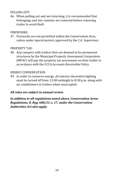#### PULLING OUT:

46. When pulling out and not returning, it is recommended that belongings and site contents are removed before removing trailer to avoid theft.

#### FIREWORKS:

47. Fireworks are not permitted within the Conservation Area, unless under special permit, approved by the C.A. Supervisor.

#### PROPERTY TAX:

48. Any campers with trailers that are deemed to be permanent structures by the Municipal Property Assessment Corporation (MPAC) will pay the property tax assessment on their trailer in accordance with the CCCA Accounts Receivable Policy.

#### ENERGY CONSERVATION:

49. In order to conserve energy, all exterior decorative lighting must be turned off from 12:00 midnight to 8:30 p.m. along with air conditioners in trailers when unoccupied.

#### *All rules are subject to annual review.*

*In addition to all regulations noted above, Conservation Areas Regulations, O. Reg. 688/21, s. 17, under the Conservation Authorities Act also apply.*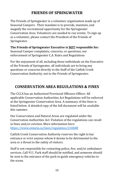## **FRIENDS OF SPRINGWATER**

The Friends of Springwater is a volunteer organization made up of Seasonal Campers. Their mandate is to provide, maintain, and magnify the recreational opportunity for the Springwater Conservation Area. Volunteers are needed to run events. To sign up as a volunteer, please contact the President of the Friends of Springwater.

#### **The Friends of Springwater Executive is NOT responsible for:**

Seasonal Camper complaints, concerns, or questions, nor enforcement of Springwater C.A. Rules and Regulations

For the enjoyment of all, including those individuals on the Executive of the Friends of Springwater, all individuals are to bring any questions or concerns directly to the Staff of the Catfish Creek Conservation Authority, not to the Friends of Springwater.

## **CONSERVATION AREA REGULATIONS & FINES**

The CCCA has an Authorized Provincial Offences Officer. All applicable Conservation Authorities Act Regulations will be enforced at the Springwater Conservation Area. A summary of the fines is listed below. A detailed copy of the full document will be available this summer.

Our Conservation and Natural Areas are regulated under the Conservation Authorities Act. Violation of the regulations can result in fines and/or eviction. More information here: <https://www.ontario.ca/laws/regulation/210688>

Catfish Creek Conservation Authority reserves the right to bar entrance or evict anyone whom it deems to be detrimental to the area or a threat to the safety of visitors.

Staff is not responsible for contacting police, fire, and/or ambulance services. Call 911. Park staff should be notified, and someone should be sent to the entrance of the park to guide emergency vehicles to the scene.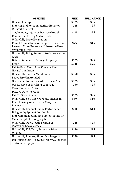| <b>OFFENSE</b>                                   | <b>FINE</b> | <b>SURCHARGE</b> |
|--------------------------------------------------|-------------|------------------|
| <b>Unlawful Camp</b>                             | \$125       | \$25             |
| <b>Entering and Remaining After Hours or</b>     | \$125       | \$25             |
| Without a Permit                                 |             |                  |
| Cut, Remove, Injure or Destroy Growth            | \$125       | \$25             |
| Remove or Destroy Soil or Rock                   |             |                  |
| <b>Unlawfully Make Excavation</b>                |             |                  |
| Permit Animal to be At Large, Disturb Other      | \$75        | \$15             |
| Persons, Make Excessive Noise or be Near         |             |                  |
| Swimming Area                                    |             |                  |
| <b>Unlawfully Bring Animal Into Conservation</b> |             |                  |
| Area                                             |             |                  |
| Deface, Remove or Damage Property                | \$125       | \$25             |
| Litter                                           | \$125       | \$25             |
| Fail to Keep Camp Area Clean or Keep in          |             |                  |
| Natural Condition                                |             |                  |
| <b>Unlawfully Start or Maintain Fire</b>         | \$150       | \$25             |
| Leave Fire Unattended                            |             |                  |
| Operate Motor Vehicle At Excessive Speed         | \$125       | \$25             |
| Use Abusive or Insulting Language                | \$150       | \$25             |
| Make Excessive Noise                             |             |                  |
| Disturb Other Persons                            |             |                  |
| Fail To Obey Officer                             | \$125       | \$25             |
| Unlawfully Sell, Offer For Sale, Engage In       | \$50        | \$10             |
| Fund Raising, Advertise or Carry On              |             |                  |
| <b>Business</b>                                  |             |                  |
| Unlawfully Conduct Public Performance,           | \$50        | \$10             |
| Bring In Equipment For Public                    |             |                  |
| Entertainment, Conduct Public Meeting or         |             |                  |
| Cause People To Congregate                       |             |                  |
| Unlawfully Operate All-Terrain or                | \$125       | \$25             |
| Motorized Snow Vehicle                           |             |                  |
| Unlawfully Kill, Trap, Pursue or Disturb         | \$150       | \$25             |
| Wildlife                                         |             |                  |
| Unlawfully Possess, Shoot, Discharge or          | \$150       | \$25             |
| Use: Spring Gun, Air Gun, Firearm, Slingshot     |             |                  |
| or Archery Equipment                             |             |                  |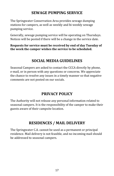## **SEWAGE PUMPING SERVICE**

The Springwater Conservation Area provides sewage dumping stations for campers, as well as weekly and bi-weekly sewage pumping service.

Generally, sewage pumping service will be operating on Thursdays. Notices will be posted if there will be a change in the service date.

**Requests for service must be received by end of day Tuesday of the week the camper wishes the service to be scheduled.**

## **SOCIAL MEDIA GUIDELINES**

Seasonal Campers are asked to contact the CCCA directly by phone, e-mail, or in person with any questions or concerns. We appreciate the chance to resolve any issues in a timely manner so that negative comments are not posted on our socials.

## **PRIVACY POLICY**

The Authority will not release any personal information related to seasonal campers. It is the responsibility of the camper to make their guests aware of their campsite location.

## **RESIDENCES / MAIL DELIVERY**

The Springwater C.A. cannot be used as a permanent or principal residence. Mail delivery is not feasible, and no incoming mail should be addressed to seasonal campers.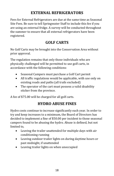## **EXTERNAL REFRIGERATORS**

Fees for External Refrigerators are due at the same time as Seasonal Site Fees. Be sure to tell Springwater Staff to include this fee if you are using an external fridge. A survey will be conducted throughout the summer to ensure that all external refrigerators have been registered.

## **GOLF CARTS**

No Golf Carts may be brought into the Conservation Area without prior approval.

The regulation remains that only those individuals who are physically challenged will be permitted to use golf carts, in accordance with the following conditions:

- Seasonal Campers must purchase a Golf Cart permit
- All traffic regulations would be applicable, with use only on existing roads and paths (all trails excluded)
- The operator of the cart must possess a valid disability sticker from the province.

A fee of \$75.00 will be charged for all golf carts.

## **HYDRO ABUSE FINES**

Hydro costs continue to increase significantly each year. In order to try and keep increases to a minimum, the Board of Directors has decided to implement a fine of \$50.00 per incident to those seasonal campers found to be abusing the hydro. Abuse is defined, but not limited to,

- Leaving the trailer unattended for multiple days with air conditioning running
- Leaving outdoor trailer lights on during daytime hours or past midnight, if unattended
- Leaving trailer lights on when unoccupied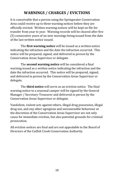## **WARNINGS / CHARGES / EVICTIONS**

It is conceivable that a person using the Springwater Conservation Area could receive up to three warning notices before they are officially evicted. Written warning notices will be kept on file for transfer from year to year. Warning records will be cleared after five (5) consecutive years of no new warnings being issued from the date of the last written notice issued.

The **first warning notice** will be issued as a written notice indicating the infraction and the date the infraction occurred. This notice will be prepared, signed, and delivered in person by the Conservation Areas Supervisor or delegate.

The **second warning notice** will be considered a final warning issued as a written notice indicating the infraction and the date the infraction occurred. This notice will be prepared, signed, and delivered in person by the Conservation Areas Supervisor or delegate.

The **third notice** will serve as an eviction notice. The final warning notice to a seasonal camper will be signed by the General Manager / Secretary-Treasurer and delivered in person by the Conservation Areas Supervisor or delegate.

Vandalism, violent acts against others, illegal drug possession, illegal drug use, and any other egregious and unreasonable behaviour at the discretion of the Conservation Areas Supervisor are not only cause for immediate eviction, but also potential grounds for criminal prosecution.

All eviction notices are final and are not appealable to the Board of Directors of the Catfish Creek Conservation Authority.